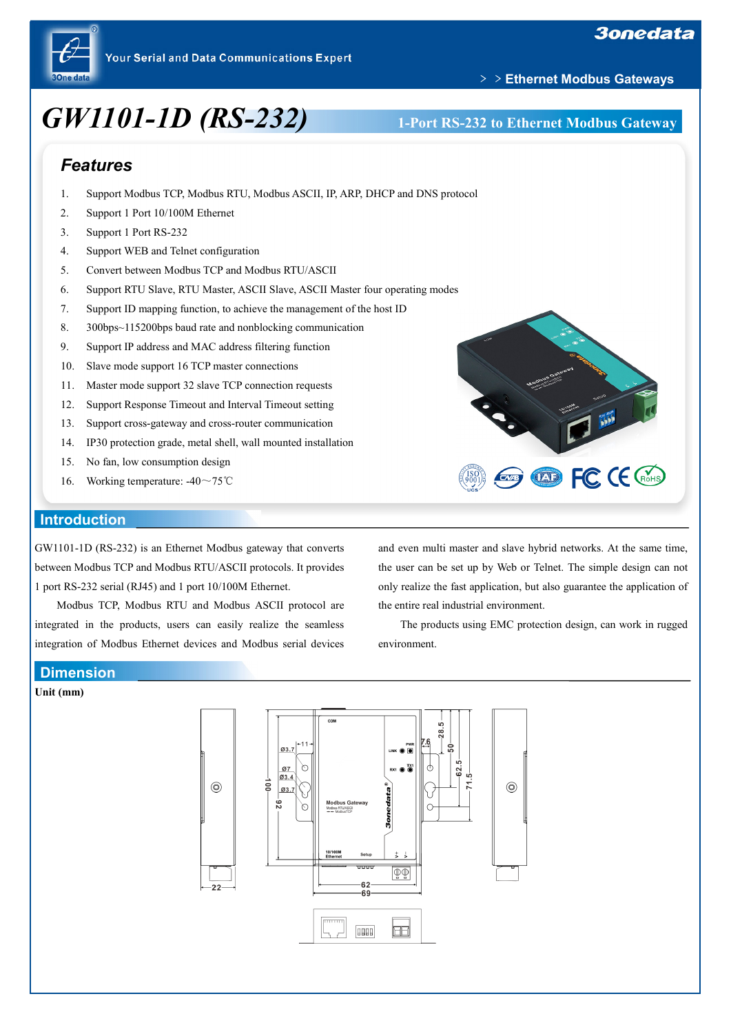

# *GW1101-1D (RS-232)* **1-Port RS-232 to Ethernet Modbus Gateway**

## ﹥﹥**Ethernet Modbus Gateways**

# *Features*

- 1. Support Modbus TCP, Modbus RTU, Modbus ASCII, IP, ARP, DHCP and DNS protocol
- 2. Support 1 Port 10/100M Ethernet
- 3. Support 1 Port RS-232
- 4. Support WEB and Telnet configuration
- 5. Convert between Modbus TCP and Modbus RTU/ASCII
- 6. Support RTU Slave, RTU Master, ASCII Slave, ASCII Master four operating modes
- 7. Support ID mapping function, to achieve the management of the host ID
- 8. 300bps~115200bps baud rate and nonblocking communication
- 9. Support IP address and MAC address filtering function
- 10. Slave mode support 16 TCP master connections
- 11. Master mode support 32 slave TCP connection requests
- 12. Support Response Timeout and Interval Timeout setting
- 13. Support cross-gateway and cross-router communication
- 14. IP30 protection grade, metal shell, wall mounted installation
- 15. No fan, low consumption design
- 16. Working temperature: -40~75℃

#### **Introduction**

GW1101-1D (RS-232) is an Ethernet Modbus gateway that converts between Modbus TCP and Modbus RTU/ASCII protocols. It provides 1 port RS-232 serial (RJ45) and 1 port 10/100M Ethernet.

Modbus TCP, Modbus RTU and Modbus ASCII protocol are integrated in the products, users can easily realize the seamless integration of Modbus Ethernet devices and Modbus serial devices and even multi master and slave hybrid networks. At the same time, the user can be set up by Web or Telnet. The simple design can not only realize the fast application, but also guarantee the application of the entire real industrial environment.

**ED FC CE CROHS** 

The products using EMC protection design, can work in rugged environment.

#### **Dimension**

#### **Unit (mm)**